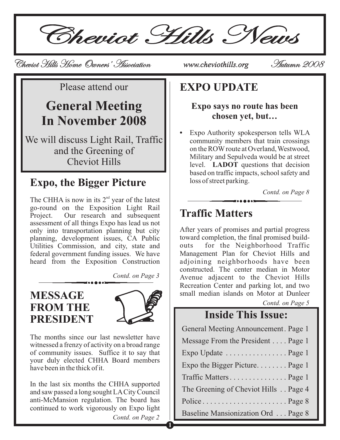Cheviot Hills News

Cheviot Hills Home Owners' Association Cheviot Hills Home Owners' *www.cheviothills.org* Autumn 2008 Autumn

Please attend our

# **General Meeting In November 2008**

We will discuss Light Rail, Traffic and the Greening of Cheviot Hills

## **Expo, the Bigger Picture**

The CHHA is now in its  $2<sup>nd</sup>$  year of the latest go-round on the Exposition Light Rail Project. Our research and subsequent assessment of all things Expo has lead us not only into transportation planning but city planning, development issues, CA Public Utilities Commission, and city, state and federal government funding issues. We have heard from the Exposition Construction

*Contd. on Page 3*

### **MESSAGE FROM THE PRESIDENT**



**1**

The months since our last newsletter have witnessed a frenzy of activity on a broad range of community issues. Suffice it to say that your duly elected CHHA Board members have been in the thick of it.

*Contd. on Page 2* In the last six months the CHHA supported and saw passed a long sought LACity Council anti-McMansion regulation. The board has continued to work vigorously on Expo light

### **EXPO UPDATE**

#### **Expo says no route has been chosen yet, but…**

**•** level. **LADOT** questions that decision Expo Authority spokesperson tells WLA community members that train crossings on the ROW route at Overland, Westwood, Military and Sepulveda would be at street based on traffic impacts, school safety and loss of street parking.

*Contd. on Page 8*

### **Traffic Matters**

After years of promises and partial progress toward completion, the final promised buildouts for the Neighborhood Traffic Management Plan for Cheviot Hills and adjoining neighborhoods have been constructed. The center median in Motor Avenue adjacent to the Cheviot Hills Recreation Center and parking lot, and two small median islands on Motor at Dunleer

*Contd. on Page 5*

## **Inside This Issue:**

| General Meeting Announcement. Page 1 |
|--------------------------------------|
| Message From the President Page 1    |
| Expo Update  Page 1                  |
| Expo the Bigger Picture Page 1       |
| Traffic MattersPage 1                |
| The Greening of Cheviot Hills Page 4 |
|                                      |
| Baseline Mansionization Ord Page 8   |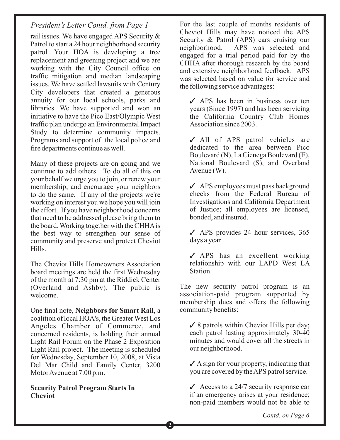*President's Letter Contd. from Page 1*

rail issues. We have engaged APS Security & Patrol to start a 24 hour neighborhood security patrol. Your HOA is developing a tree replacement and greening project and we are working with the City Council office on traffic mitigation and median landscaping issues. We have settled lawsuits with Century City developers that created a generous annuity for our local schools, parks and libraries. We have supported and won an initiative to have the Pico East/Olympic West traffic plan undergo an Environmental Impact Study to determine community impacts. Programs and support of the local police and fire departments continue as well.

Many of these projects are on going and we continue to add others. To do all of this on your behalf we urge you to join, or renew your membership, and encourage your neighbors to do the same. If any of the projects we're working on interest you we hope you will join the effort. If you have neighborhood concerns that need to be addressed please bring them to the board. Working together with the CHHAis the best way to strengthen our sense of community and preserve and protect Cheviot Hills.

The Cheviot Hills Homeowners Association board meetings are held the first Wednesday of the month at 7:30 pm at the Riddick Center (Overland and Ashby). The public is welcome.

Light Rail Forum on the Phase 2 Exposition Light Rail project. The meeting is scheduled for Wednesday, September 10, 2008, at Vista Del Mar Child and Family Center, 3200 MotorAvenue at 7:00 p.m. One final note, Neighbors for Smart Rail, a coalition of local HOA's, the Greater West Los Angeles Chamber of Commerce, and concerned residents, is holding their annual

**Security Patrol Program Starts In Cheviot**

For the last couple of months residents of Cheviot Hills may have noticed the APS Security & Patrol (APS) cars cruising our neighborhood. APS was selected and engaged for a trial period paid for by the CHHA after thorough research by the board and extensive neighborhood feedback. APS was selected based on value for service and the following service advantages:

√ APS has been in business over ten years (Since 1997) and has been servicing the California Country Club Homes Association since 2003.

√ All of APS patrol vehicles are dedicated to the area between Pico Boulevard (N), La Cienega Boulevard (E), National Boulevard (S), and Overland Avenue (W).

APS employees must pass background 3 checks from the Federal Bureau of Investigations and California Department of Justice; all employees are licensed, bonded, and insured.

◆ APS provides 24 hour services, 365 days a year.

APS has an excellent working relationship with our LAPD West LA Station.

The new security patrol program is an association-paid program supported by membership dues and offers the following community benefits:

✓ 8 patrols within Cheviot Hills per day; each patrol lasting approximately 30-40 minutes and would cover all the streets in our neighborhood.

 $\angle$  A sign for your property, indicating that you are covered by theAPS patrol service.

Access to a  $24/7$  security response car if an emergency arises at your residence; non-paid members would not be able to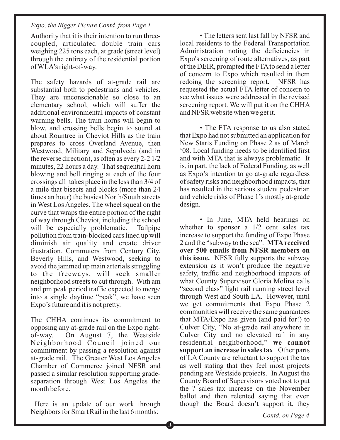### *Expo, the Bigger Picture Contd. from Page 1*

Authority that it is their intention to run threecoupled, articulated double train cars weighing 225 tons each, at grade (street level) through the entirety of the residential portion of WLA's right-of-way.

The safety hazards of at-grade rail are substantial both to pedestrians and vehicles. They are unconscionable so close to an elementary school, which will suffer the additional environmental impacts of constant warning bells. The train horns will begin to blow, and crossing bells begin to sound at about Rountree in Cheviot Hills as the train prepares to cross Overland Avenue, then Westwood, Military and Sepulveda (and in the reverse direction), as often as every 2-2 1/2 minutes, 22 hours a day. That sequential horn blowing and bell ringing at each of the four crossings all takes place in the less than 3/4 of a mile that bisects and blocks (more than 24 times an hour) the busiest North/South streets in West Los Angeles. The wheel squeal on the curve that wraps the entire portion of the right of way through Cheviot, including the school will be especially problematic. Tailpipe pollution from train-blocked cars lined up will diminish air quality and create driver frustration. Commuters from Century City, Beverly Hills, and Westwood, seeking to avoid the jammed up main arterials struggling to the freeways, will seek smaller neighborhood streets to cut through. With am and pm peak period traffic expected to merge into a single daytime "peak", we have seen Expo's future and it is not pretty.

The CHHA continues its commitment to opposing any at-grade rail on the Expo rightof-way. On August 7, the Westside Neighborhood Council joined our commitment by passing a resolution against at-grade rail. The Greater West Los Angeles Chamber of Commerce joined NFSR and passed a similar resolution supporting gradeseparation through West Los Angeles the month before.

Here is an update of our work through Neighbors for Smart Rail in the last 6 months:

• The letters sent last fall by NFSR and local residents to the Federal Transportation Administration noting the deficiencies in Expo's screening of route alternatives, as part of the DEIR, prompted the FTAto send a letter of concern to Expo which resulted in them redoing the screening report. NFSR has requested the actual FTA letter of concern to see what issues were addressed in the revised screening report. We will put it on the CHHA and NFSR website when we get it.

• The FTA response to us also stated that Expo had not submitted an application for New Starts Funding on Phase 2 as of March '08. Local funding needs to be identified first and with MTA that is always problematic It is, in part, the lack of Federal Funding, as well as Expo's intention to go at-grade regardless of safety risks and neighborhood impacts, that has resulted in the serious student pedestrian and vehicle risks of Phase 1's mostly at-grade design.

• In June, MTA held hearings on whether to sponsor a  $1/2$  cent sales tax increase to support the funding of Expo Phase 2 and the "subway to the sea". **MTAreceived** this issue. NFSR fully supports the subway extension as it won't produce the negative safety, traffic and neighborhood impacts of what County Supervisor Gloria Molina calls "second class" light rail running street level through West and South LA. However, until we get commitments that Expo Phase 2 communities will receive the same guarantees that MTA/Expo has given (and paid for!) to Culver City, "No at-grade rail anywhere in Culver City and no elevated rail in any residential neighborhood," **we cannot** support an increase in sales tax. Other parts of LA County are reluctant to support the tax as well stating that they feel most projects pending are Westside projects. In August the County Board of Supervisors voted not to put the ? sales tax increase on the November ballot and then relented saying that even though the Board doesn't support it, they **over 500 emails from NFSR members on**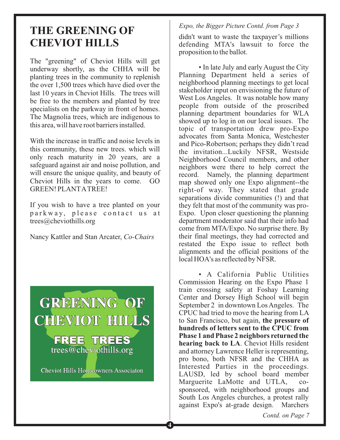## **THE GREENING OF CHEVIOT HILLS**

The "greening" of Cheviot Hills will get underway shortly, as the CHHA will be planting trees in the community to replenish the over 1,500 trees which have died over the last 10 years in Cheviot Hills. The trees will be free to the members and planted by tree specialists on the parkway in front of homes. The Magnolia trees, which are indigenous to this area, will have root barriers installed.

With the increase in traffic and noise levels in this community, these new trees. which will only reach maturity in 20 years, are a safeguard against air and noise pollution, and will ensure the unique quality, and beauty of Cheviot Hills in the years to come. GO GREEN! PLANTATREE!

If you wish to have a tree planted on your parkway, please contact us at trees@cheviothills.org

Nancy Kattler and Stan Arcater, *Co-Chairs*



#### *Expo, the Bigger Picture Contd. from Page 3*

didn't want to waste the taxpayer's millions defending MTA's lawsuit to force the proposition to the ballot.

• In late July and early August the City Planning Department held a series of neighborhood planning meetings to get local stakeholder input on envisioning the future of West Los Angeles. It was notable how many people from outside of the proscribed planning department boundaries for WLA showed up to log in on our local issues. The topic of transportation drew pro-Expo advocates from Santa Monica, Westchester and Pico-Robertson; perhaps they didn't read the invitation...Luckily NFSR, Westside Neighborhood Council members, and other neighbors were there to help correct the record. Namely, the planning department map showed only one Expo alignment--the right-of way. They stated that grade separations divide communities (!) and that they felt that most of the community was pro-Expo. Upon closer questioning the planning department moderator said that their info had come from MTA/Expo. No surprise there. By their final meetings, they had corrected and restated the Expo issue to reflect both alignments and the official positions of the local HOA's as reflected by NFSR.

• A California Public Utilities Commission Hearing on the Expo Phase 1 train crossing safety at Foshay Learning Center and Dorsey High School will begin September 2 in downtown Los Angeles. The CPUC had tried to move the hearing from LA to San Francisco, but again, **the pressure of** hearing back to LA. Cheviot Hills resident and attorney Lawrence Heller is representing, pro bono, both NFSR and the CHHA as Interested Parties in the proceedings. LAUSD, led by school board member Marguerite LaMotte and UTLA, cosponsored, with neighborhood groups and South Los Angeles churches, a protest rally against Expo's at-grade design. Marchers **hundreds of letters sent to the CPUC from Phase 1 and Phase 2 neighbors returned the**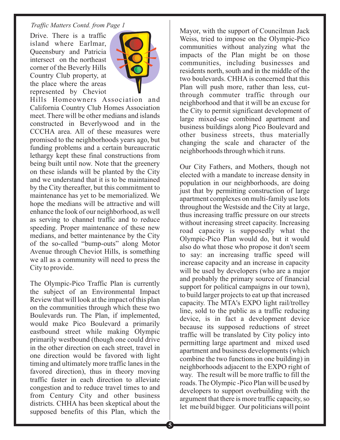#### *Traffic Matters Contd. from Page 1*

Drive. There is a traffic island where Earlmar, Queensbury and Patricia intersect on the northeast corner of the Beverly Hills Country Club property, at the place where the areas represented by Cheviot



Hills Homeowners Association and California Country Club Homes Association meet. There will be other medians and islands constructed in Beverlywood and in the CCCHA area. All of these measures were promised to the neighborhoods years ago, but funding problems and a certain bureaucratic lethargy kept these final constructions from being built until now. Note that the greenery on these islands will be planted by the City and we understand that it is to be maintained by the City thereafter, but this commitment to maintenance has yet to be memorialized. We hope the medians will be attractive and will enhance the look of our neighborhood, as well as serving to channel traffic and to reduce speeding. Proper maintenance of these new medians, and better maintenance by the City of the so-called "bump-outs" along Motor Avenue through Cheviot Hills, is something we all as a community will need to press the City to provide.

The Olympic-Pico Traffic Plan is currently the subject of an Environmental Impact Review that will look at the impact of this plan on the communities through which these two Boulevards run. The Plan, if implemented, would make Pico Boulevard a primarily eastbound street while making Olympic primarily westbound (though one could drive in the other direction on each street, travel in one direction would be favored with light timing and ultimately more traffic lanes in the favored direction), thus in theory moving traffic faster in each direction to alleviate congestion and to reduce travel times to and from Century City and other business districts. CHHA has been skeptical about the supposed benefits of this Plan, which the

Mayor, with the support of Councilman Jack Weiss, tried to impose on the Olympic-Pico communities without analyzing what the impacts of the Plan might be on those communities, including businesses and residents north, south and in the middle of the two boulevards. CHHA is concerned that this Plan will push more, rather than less, cutthrough commuter traffic through our neighborhood and that it will be an excuse for the City to permit significant development of large mixed-use combined apartment and business buildings along Pico Boulevard and other business streets, thus materially changing the scale and character of the neighborhoods through which it runs.

Our City Fathers, and Mothers, though not elected with a mandate to increase density in population in our neighborhoods, are doing just that by permitting construction of large apartment complexes on multi-family use lots throughout the Westside and the City at large, thus increasing traffic pressure on our streets without increasing street capacity. Increasing road capacity is supposedly what the Olympic-Pico Plan would do, but it would also do what those who propose it don't seem to say: an increasing traffic speed will increase capacity and an increase in capacity will be used by developers (who are a major and probably the primary source of financial support for political campaigns in our town), to build larger projects to eat up that increased capacity. The MTA's EXPO light rail/trolley line, sold to the public as a traffic reducing device, is in fact a development device because its supposed reductions of street traffic will be translated by City policy into permitting large apartment and mixed used apartment and business developments (which combine the two functions in one building) in neighborhoods adjacent to the EXPO right of way. The result will be more traffic to fill the roads. The Olympic -Pico Plan will be used by developers to support overbuilding with the argument that there is more traffic capacity, so let me build bigger. Our politicians will point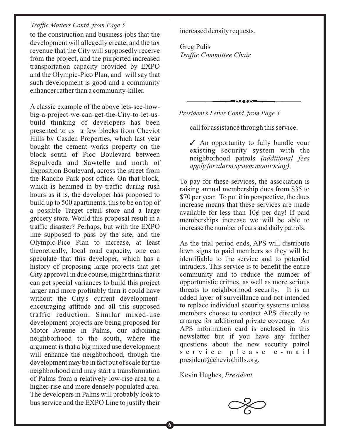#### *Traffic Matters Contd. from Page 5*

to the construction and business jobs that the development will allegedly create, and the tax revenue that the City will supposedly receive from the project, and the purported increased transportation capacity provided by EXPO and the Olympic-Pico Plan, and will say that such development is good and a community enhancer rather than a community-killer.

A classic example of the above lets-see-howbig-a-project-we-can-get-the-City-to-let-usbuild thinking of developers has been presented to us a few blocks from Cheviot Hills by Casden Properties, which last year bought the cement works property on the block south of Pico Boulevard between Sepulveda and Sawtelle and north of Exposition Boulevard, across the street from the Rancho Park post office. On that block, which is hemmed in by traffic during rush hours as it is, the developer has proposed to build up to 500 apartments, this to be on top of a possible Target retail store and a large grocery store. Would this proposal result in a traffic disaster? Perhaps, but with the EXPO line supposed to pass by the site, and the Olympic-Pico Plan to increase, at least theoretically, local road capacity, one can speculate that this developer, which has a history of proposing large projects that get City approval in due course, might think that it can get special variances to build this project larger and more profitably than it could have without the City's current developmentencouraging attitude and all this supposed traffic reduction. Similar mixed-use development projects are being proposed for Motor Avenue in Palms, our adjoining neighborhood to the south, where the argument is that a big mixed use development will enhance the neighborhood, though the development may be in fact out of scale for the neighborhood and may start a transformation of Palms from a relatively low-rise area to a higher-rise and more densely populated area. The developers in Palms will probably look to bus service and the EXPO Line to justify their

increased density requests.

Greg Pulis *Traffic Committee Chair*

*President's Letter Contd. from Page 3*

call for assistance through this service.

✔ An opportunity to fully bundle your existing security system with the neighborhood patrols *(additional fees apply for alarm system monitoring).*

To pay for these services, the association is raising annual membership dues from \$35 to \$70 per year. To put it in perspective, the dues increase means that these services are made available for less than 10¢ per day! If paid memberships increase we will be able to increase the number of cars and daily patrols.

As the trial period ends, APS will distribute lawn signs to paid members so they will be identifiable to the service and to potential intruders. This service is to benefit the entire community and to reduce the number of opportunistic crimes, as well as more serious threats to neighborhood security. It is an added layer of surveillance and not intended to replace individual security systems unless members choose to contact APS directly to arrange for additional private coverage. An APS information card is enclosed in this newsletter but if you have any further questions about the new security patrol service please e-mail president@cheviothills.org.

Kevin Hughes, *President*

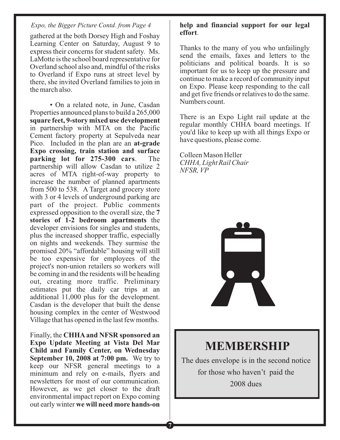#### *Expo, the Bigger Picture Contd. from Page 4*

gathered at the both Dorsey High and Foshay Learning Center on Saturday, August 9 to express their concerns for student safety. Ms. LaMotte is the school board representative for Overland school also and, mindful of the risks to Overland if Expo runs at street level by there, she invited Overland families to join in the march also.

• On a related note, in June, Casdan Properties announced plans to build a 265,000 in partnership with MTA on the Pacific Cement factory property at Sepulveda near Pico. Included in the plan are an **at-grade** . The partnership will allow Casdan to utilize 2 acres of MTA right-of-way property to increase the number of planned apartments from 500 to 538. A Target and grocery store with 3 or 4 levels of underground parking are part of the project. Public comments expressed opposition to the overall size, the **7** stories of 1-2 bedroom apartments the developer envisions for singles and students, plus the increased shopper traffic, especially on nights and weekends. They surmise the promised 20% "affordable" housing will still be too expensive for employees of the project's non-union retailers so workers will be coming in and the residents will be heading out, creating more traffic. Preliminary estimates put the daily car trips at an additional 11,000 plus for the development. Casdan is the developer that built the dense housing complex in the center of Westwood Village that has opened in the last few months. **square feet, 9-story mixed use development Expo crossing, train station and surface parking lot for 275-300 cars**

Finally, the **CHHA and NFSR sponsored an September 10, 2008 at 7:00 pm.** We try to keep our NFSR general meetings to a minimum and rely on e-mails, flyers and newsletters for most of our communication. However, as we get closer to the draft environmental impact report on Expo coming out early winter **we will need more hands-on Expo Update Meeting at Vista Del Mar Child and Family Center, on Wednesday**

**7**

#### **help and financial support for our legal effort**.

Thanks to the many of you who unfailingly send the emails, faxes and letters to the politicians and political boards. It is so important for us to keep up the pressure and continue to make a record of community input on Expo. Please keep responding to the call and get five friends or relatives to do the same. Numbers count.

There is an Expo Light rail update at the regular monthly CHHA board meetings. If you'd like to keep up with all things Expo or have questions, please come.

Colleen Mason Heller *CHHA, Light Rail Chair NFSR, VP*



### **MEMBERSHIP**

The dues envelope is in the second notice for those who haven't paid the 2008 dues